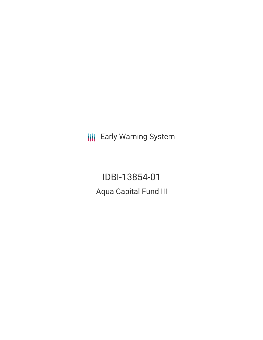**III** Early Warning System

IDBI-13854-01 Aqua Capital Fund III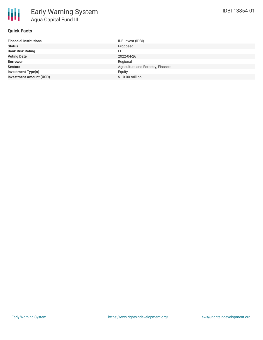

#### **Quick Facts**

| <b>Financial Institutions</b>  | IDB Invest (IDBI)                 |
|--------------------------------|-----------------------------------|
| <b>Status</b>                  | Proposed                          |
| <b>Bank Risk Rating</b>        | FI.                               |
| <b>Voting Date</b>             | 2022-04-26                        |
| <b>Borrower</b>                | Regional                          |
| <b>Sectors</b>                 | Agriculture and Forestry, Finance |
| <b>Investment Type(s)</b>      | Eauity                            |
| <b>Investment Amount (USD)</b> | \$10.00 million                   |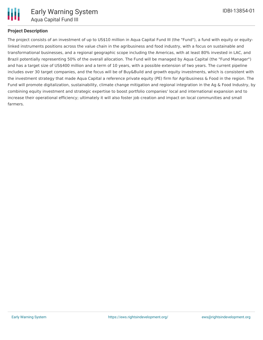

# **Project Description**

The project consists of an investment of up to US\$10 million in Aqua Capital Fund III (the "Fund"), a fund with equity or equitylinked instruments positions across the value chain in the agribusiness and food industry, with a focus on sustainable and transformational businesses, and a regional geographic scope including the Americas, with at least 80% invested in LAC, and Brazil potentially representing 50% of the overall allocation. The Fund will be managed by Aqua Capital (the "Fund Manager") and has a target size of US\$400 million and a term of 10 years, with a possible extension of two years. The current pipeline includes over 30 target companies, and the focus will be of Buy&Build and growth equity investments, which is consistent with the investment strategy that made Aqua Capital a reference private equity (PE) firm for Agribusiness & Food in the region. The Fund will promote digitalization, sustainability, climate change mitigation and regional integration in the Ag & Food Industry, by combining equity investment and strategic expertise to boost portfolio companies' local and international expansion and to increase their operational efficiency; ultimately it will also foster job creation and impact on local communities and small farmers.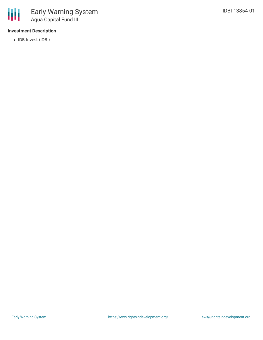### **Investment Description**

• IDB Invest (IDBI)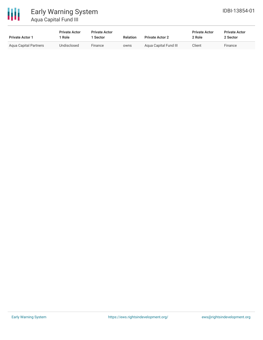

# Early Warning System Aqua Capital Fund III

| <b>Private Actor 1</b> | <b>Private Actor</b><br>1 Role | <b>Private Actor</b><br>Sector | <b>Relation</b> | <b>Private Actor 2</b> | <b>Private Actor</b><br>2 Role | <b>Private Actor</b><br>2 Sector |  |
|------------------------|--------------------------------|--------------------------------|-----------------|------------------------|--------------------------------|----------------------------------|--|
| Agua Capital Partners  | Undisclosed                    | Finance                        | owns            | Aqua Capital Fund III  | Client                         | Finance                          |  |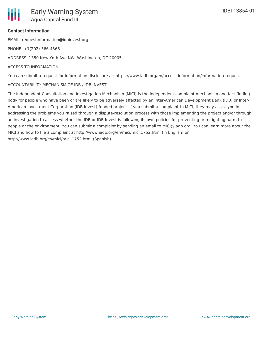#### **Contact Information**

EMAIL: requestinformation@idbinvest.org

PHONE: +1(202)-566-4566

ADDRESS: 1350 New York Ave NW, Washington, DC 20005

#### ACCESS TO INFORMATION

You can submit a request for information disclosure at: https://www.iadb.org/en/access-information/information-request

#### ACCOUNTABILITY MECHANISM OF IDB / IDB INVEST

The Independent Consultation and Investigation Mechanism (MICI) is the independent complaint mechanism and fact-finding body for people who have been or are likely to be adversely affected by an Inter-American Development Bank (IDB) or Inter-American Investment Corporation (IDB Invest)-funded project. If you submit a complaint to MICI, they may assist you in addressing the problems you raised through a dispute-resolution process with those implementing the project and/or through an investigation to assess whether the IDB or IDB Invest is following its own policies for preventing or mitigating harm to people or the environment. You can submit a complaint by sending an email to MICI@iadb.org. You can learn more about the MICI and how to file a complaint at http://www.iadb.org/en/mici/mici,1752.html (in English) or http://www.iadb.org/es/mici/mici,1752.html (Spanish).